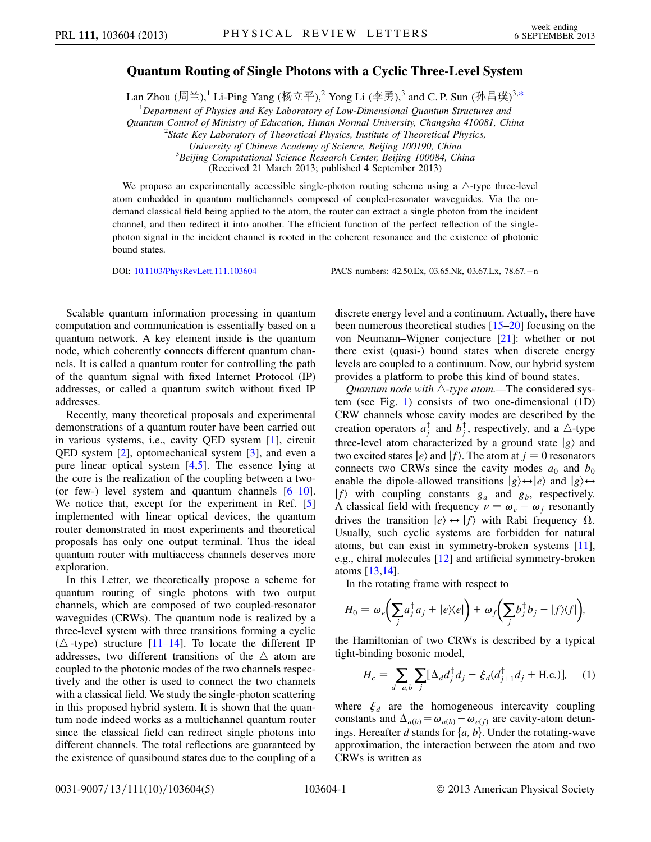## Quantum Routing of Single Photons with a Cyclic Three-Level System

<span id="page-0-0"></span>Lan Zhou (周兰), $^1$  Li-Ping Yang (杨立平), $^2$  Yong Li (李勇), $^3$  and C.P. Sun (孙昌璞) $^{3,\ast}$ 

<sup>1</sup>Department of Physics and Key Laboratory of Low-Dimensional Quantum Structures and

Quantum Control of Ministry of Education, Hunan Normal University, Changsha 410081, China <sup>2</sup>

 $2$ State Key Laboratory of Theoretical Physics, Institute of Theoretical Physics,

University of Chinese Academy of Science, Beijing 100190, China <sup>3</sup>

 ${}^{3}$ Beijing Computational Science Research Center, Beijing 100084, China

(Received 21 March 2013; published 4 September 2013)

We propose an experimentally accessible single-photon routing scheme using a  $\triangle$ -type three-level atom embedded in quantum multichannels composed of coupled-resonator waveguides. Via the ondemand classical field being applied to the atom, the router can extract a single photon from the incident channel, and then redirect it into another. The efficient function of the perfect reflection of the singlephoton signal in the incident channel is rooted in the coherent resonance and the existence of photonic bound states.

DOI: [10.1103/PhysRevLett.111.103604](http://dx.doi.org/10.1103/PhysRevLett.111.103604) PACS numbers: 42.50.Ex, 03.65.Nk, 03.67.Lx, 78.67.-n

Scalable quantum information processing in quantum computation and communication is essentially based on a quantum network. A key element inside is the quantum node, which coherently connects different quantum channels. It is called a quantum router for controlling the path of the quantum signal with fixed Internet Protocol (IP) addresses, or called a quantum switch without fixed IP addresses.

Recently, many theoretical proposals and experimental demonstrations of a quantum router have been carried out in various systems, i.e., cavity QED system [\[1](#page-3-1)], circuit QED system [\[2\]](#page-3-2), optomechanical system [\[3](#page-3-3)], and even a pure linear optical system [\[4](#page-3-4),[5](#page-3-5)]. The essence lying at the core is the realization of the coupling between a two- (or few-) level system and quantum channels  $[6-10]$  $[6-10]$ . We notice that, except for the experiment in Ref. [\[5\]](#page-3-5) implemented with linear optical devices, the quantum router demonstrated in most experiments and theoretical proposals has only one output terminal. Thus the ideal quantum router with multiaccess channels deserves more exploration.

In this Letter, we theoretically propose a scheme for quantum routing of single photons with two output channels, which are composed of two coupled-resonator waveguides (CRWs). The quantum node is realized by a three-level system with three transitions forming a cyclic ( $\triangle$ -type) structure [\[11](#page-4-1)–[14](#page-4-2)]. To locate the different IP addresses, two different transitions of the  $\triangle$  atom are coupled to the photonic modes of the two channels respectively and the other is used to connect the two channels with a classical field. We study the single-photon scattering in this proposed hybrid system. It is shown that the quantum node indeed works as a multichannel quantum router since the classical field can redirect single photons into different channels. The total reflections are guaranteed by the existence of quasibound states due to the coupling of a discrete energy level and a continuum. Actually, there have been numerous theoretical studies [\[15–](#page-4-3)[20](#page-4-4)] focusing on the von Neumann–Wigner conjecture [\[21\]](#page-4-5): whether or not there exist (quasi-) bound states when discrete energy levels are coupled to a continuum. Now, our hybrid system provides a platform to probe this kind of bound states.

*Quantum node with*  $\triangle$ -type atom.—The considered system (see Fig. [1](#page-1-0)) consists of two one-dimensional (1D) CRW channels whose cavity modes are described by the creation operators  $a_j^{\dagger}$  and  $b_j^{\dagger}$ , respectively, and a  $\triangle$ -type<br>three layel atom oberestorized by a ground state  $|a\rangle$  and three-level atom characterized by a ground state  $|g\rangle$  and two excited states  $|e\rangle$  and  $|f\rangle$ . The atom at  $j = 0$  resonators connects two CRWs since the cavity modes  $a_0$  and  $b_0$ enable the dipole-allowed transitions  $|g\rangle \leftrightarrow |e\rangle$  and  $|g\rangle \leftrightarrow$  $|f\rangle$  with coupling constants  $g_a$  and  $g_b$ , respectively. A classical field with frequency  $\nu = \omega_e - \omega_f$  resonantly drives the transition  $|e\rangle \leftrightarrow |f\rangle$  with Rabi frequency  $\Omega$ . Usually, such cyclic systems are forbidden for natural atoms, but can exist in symmetry-broken systems [[11\]](#page-4-1), e.g., chiral molecules [\[12\]](#page-4-6) and artificial symmetry-broken atoms [[13,](#page-4-7)[14](#page-4-2)].

In the rotating frame with respect to

$$
H_0 = \omega_e \bigg( \sum_j a_j^{\dagger} a_j + |e\rangle\langle e| \bigg) + \omega_f \bigg( \sum_j b_j^{\dagger} b_j + |f\rangle\langle f| \bigg),
$$

the Hamiltonian of two CRWs is described by a typical tight-binding bosonic model,

$$
H_c = \sum_{d=a,b} \sum_{j} [\Delta_d d_j^{\dagger} d_j - \xi_d (d_{j+1}^{\dagger} d_j + \text{H.c.})], \quad (1)
$$

where  $\xi_d$  are the homogeneous intercavity coupling constants and  $\Delta_{a(b)} = \omega_{a(b)} - \omega_{e(f)}$  are cavity-atom detun-<br>ings. Hereafter d stands for La, b). Under the rotating wave ings. Hereafter d stands for  $\{a, b\}$ . Under the rotating-wave approximation, the interaction between the atom and two CRWs is written as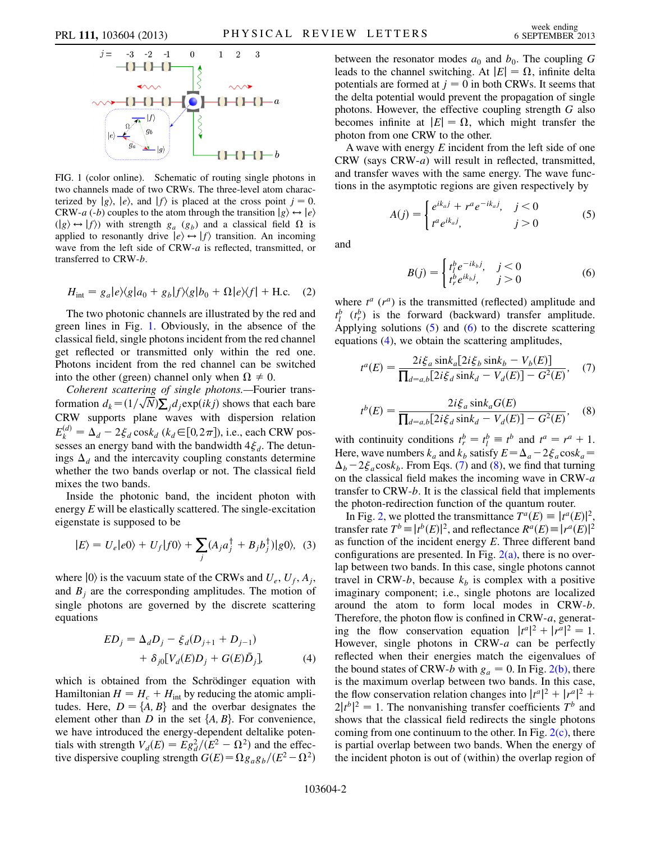<span id="page-1-0"></span>

FIG. 1 (color online). Schematic of routing single photons in two channels made of two CRWs. The three-level atom characterized by  $|g\rangle$ ,  $|e\rangle$ , and  $|f\rangle$  is placed at the cross point  $j = 0$ . CRW-a (-b) couples to the atom through the transition  $|g\rangle \leftrightarrow |e\rangle$  $(|g\rangle \leftrightarrow |f\rangle)$  with strength  $g_a$  ( $g_b$ ) and a classical field  $\Omega$  is applied to resonantly drive  $|e\rangle \leftrightarrow |f\rangle$  transition. An incoming wave from the left side of CRW-a is reflected, transmitted, or transferred to CRW-b.

$$
H_{\text{int}} = g_a |e\rangle\langle g|a_0 + g_b|f\rangle\langle g|b_0 + \Omega|e\rangle\langle f| + \text{H.c.} \quad (2)
$$

The two photonic channels are illustrated by the red and green lines in Fig. [1](#page-1-0). Obviously, in the absence of the classical field, single photons incident from the red channel get reflected or transmitted only within the red one. Photons incident from the red channel can be switched into the other (green) channel only when  $\Omega \neq 0$ .

Coherent scattering of single photons.—Fourier transformation  $d_k = (1/\sqrt{N})\sum_j d_j \exp(ikj)$  shows that each bare CRW supports plane waves with dispersion relation  $E_k^{(d)} = \Delta_d - 2 \xi_d \cos k_d$  ( $k_d \in [0, 2\pi]$ ), i.e., each CRW pos-<br>sesses an energy band with the bandwidth  $4\xi$ . The detunsesses an energy band with the bandwidth  $4\xi_d$ . The detunings  $\Delta_d$  and the intercavity coupling constants determine whether the two bands overlap or not. The classical field mixes the two bands.

Inside the photonic band, the incident photon with energy  $E$  will be elastically scattered. The single-excitation eigenstate is supposed to be

$$
|E\rangle = U_e|e0\rangle + U_f|f0\rangle + \sum_j (A_j a_j^{\dagger} + B_j b_j^{\dagger})|g0\rangle, \tag{3}
$$

<span id="page-1-3"></span>where  $|0\rangle$  is the vacuum state of the CRWs and  $U_e$ ,  $U_f$ ,  $A_j$ , and  $B_i$  are the corresponding amplitudes. The motion of single photons are governed by the discrete scattering equations

$$
ED_j = \Delta_d D_j - \xi_d (D_{j+1} + D_{j-1})
$$
  
+  $\delta_{j0} [V_d (E) D_j + G(E) \bar{D}_j],$  (4)

which is obtained from the Schrödinger equation with Hamiltonian  $H = H_c + H_{int}$  by reducing the atomic amplitudes. Here,  $D = \{A, B\}$  and the overbar designates the element other than  $D$  in the set  $\{A, B\}$ . For convenience, we have introduced the energy-dependent deltalike potentials with strength  $V_d(E) = Eg_d^2/(E^2 - \Omega^2)$  and the effec-<br>tive dispersive coupling strength  $G(E) = \Omega g_g$  a,  $/(E^2 - \Omega^2)$ tive dispersive coupling strength  $G(E) = \Omega g_a g_b/(E^2 - \Omega^2)$  between the resonator modes  $a_0$  and  $b_0$ . The coupling G leads to the channel switching. At  $|E| = \Omega$ , infinite delta potentials are formed at  $j = 0$  in both CRWs. It seems that the delta potential would prevent the propagation of single photons. However, the effective coupling strength G also becomes infinite at  $|E| = \Omega$ , which might transfer the photon from one CRW to the other.

<span id="page-1-1"></span>A wave with energy  $E$  incident from the left side of one CRW (says CRW-a) will result in reflected, transmitted, and transfer waves with the same energy. The wave functions in the asymptotic regions are given respectively by

$$
A(j) = \begin{cases} e^{ik_a j} + r^a e^{-ik_a j}, & j < 0\\ t^a e^{ik_a j}, & j > 0 \end{cases}
$$
 (5)

<span id="page-1-2"></span>and

$$
B(j) = \begin{cases} t_l^b e^{-ik_b j}, & j < 0\\ t_r^b e^{ik_b j}, & j > 0 \end{cases}
$$
 (6)

where  $t^a$  ( $r^a$ ) is the transmitted (reflected) amplitude and  $t_l^b$  ( $t_r^b$ ) is the forward (backward) transfer amplitude. Applying solutions  $(5)$  $(5)$  and  $(6)$  $(6)$  $(6)$  to the discrete scattering equations ([4\)](#page-1-3), we obtain the scattering amplitudes,

<span id="page-1-5"></span>
$$
t^{a}(E) = \frac{2i\xi_{a}\sin k_{a}[2i\xi_{b}\sin k_{b} - V_{b}(E)]}{\prod_{d=a,b}[2i\xi_{d}\sin k_{d} - V_{d}(E)] - G^{2}(E)},
$$
 (7)

$$
t^{b}(E) = \frac{2i\xi_a \sin k_a G(E)}{\prod_{d=a,b} [2i\xi_d \sin k_d - V_d(E)] - G^2(E)},
$$
 (8)

<span id="page-1-4"></span>with continuity conditions  $t_i^b = t_i^b \equiv t^b$  and  $t^a = t^a + 1$ .<br>Here wave numbers k and k, satisfy  $E = \Lambda - 2\xi \cos k =$ Here, wave numbers  $k_a$  and  $k_b$  satisfy  $E = \Delta_a - 2\xi_a \cos k_a = \Delta_b - 2\xi_a \cos k_b$ . From Eqs. (7) and (8), we find that turning  $\Delta_b - 2\xi_a \cos k_b$ . From Eqs. ([7\)](#page-1-4) and [\(8](#page-1-5)), we find that turning<br>on the classical field makes the incoming wave in CRW-a on the classical field makes the incoming wave in CRW-a transfer to CRW-b. It is the classical field that implements the photon-redirection function of the quantum router.

In Fig. [2,](#page-2-0) we plotted the transmittance  $T^a(E) \equiv |t^a(E)|^2$ ,<br>nsfer rate  $T^b \equiv |t^b(E)|^2$  and reflectance  $R^a(E) \equiv |r^a(E)|^2$ . transfer rate  $T^b \equiv |t^b(E)|^2$ , and reflectance  $R^a(E) \equiv |r^a(E)|^2$ <br>as function of the incident energy E. Three different hand as function of the incident energy  $E$ . Three different band configurations are presented. In Fig.  $2(a)$ , there is no overlap between two bands. In this case, single photons cannot travel in CRW-b, because  $k_b$  is complex with a positive imaginary component; i.e., single photons are localized around the atom to form local modes in CRW-b. Therefore, the photon flow is confined in CRW-a, generating the flow conservation equation  $|t^a|^2 + |r^a|^2 = 1$ .<br>However single photons in CRW-*a* can be perfectly However, single photons in  $CRW-a$  can be perfectly reflected when their energies match the eigenvalues of the bound states of CRW-b with  $g_a = 0$ . In Fig. [2\(b\)](#page-2-1), there is the maximum overlap between two bands. In this case, the flow conservation relation changes into  $|t^a|^2 + |r^a|^2 + 2|t^b|^2 = 1$ . The nonvanishing transfer coefficients  $T^b$  and shows that the classical field redirects the single photons  $|a|^2 + |r^a|^2$ <br>rients  $T^b$  a shows that the classical field redirects the single photons coming from one continuum to the other. In Fig.  $2(c)$ , there is partial overlap between two bands. When the energy of the incident photon is out of (within) the overlap region of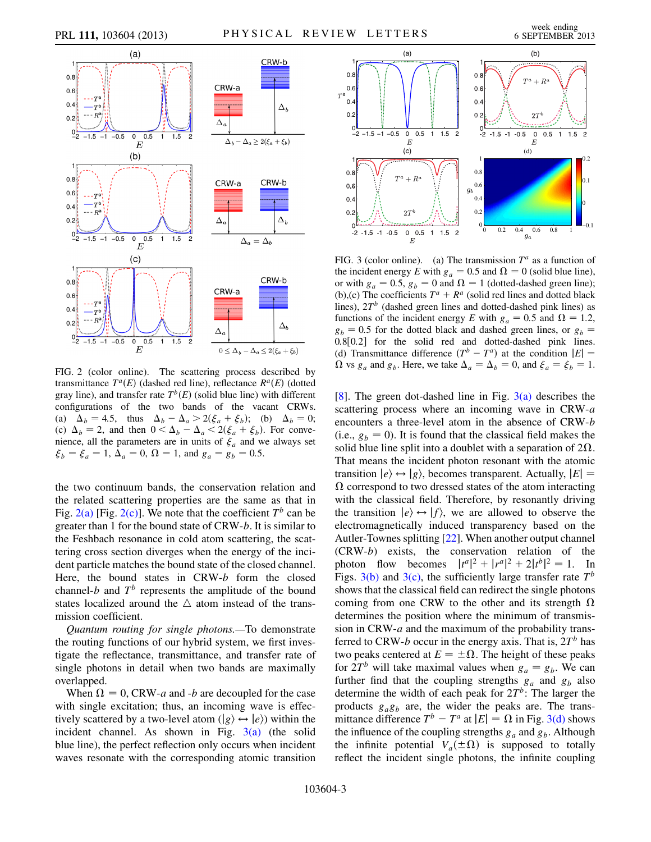

<span id="page-2-0"></span>

<span id="page-2-1"></span>FIG. 2 (color online). The scattering process described by transmittance  $T^a(E)$  (dashed red line), reflectance  $R^a(E)$  (dotted gray line), and transfer rate  $T<sup>b</sup>(E)$  (solid blue line) with different configurations of the two bands of the vacant CRWs. (a)  $\Delta_b = 4.5$ , thus  $\Delta_b - \Delta_a > 2(\xi_a + \xi_b)$ ; (b)  $\Delta_b = 0$ ;<br>(c)  $\Delta_b = 2$  and then  $0 \le \Delta_b - \Delta \le 2(\xi + \xi_b)$ . For conve-(c)  $\Delta_b = 2$ , and then  $0 < \Delta_b - \Delta_a < 2(\xi_a + \xi_b)$ . For conve-<br>pience all the parameters are in units of  $\xi$  and we always set nience, all the parameters are in units of  $\xi_a$  and we always set  $\xi_b = \xi_a = 1, \Delta_a = 0, \Omega = 1, \text{ and } g_a = g_b = 0.5.$ 

the two continuum bands, the conservation relation and the related scattering properties are the same as that in Fig. [2\(a\)](#page-2-1) [Fig. [2\(c\)\]](#page-2-1). We note that the coefficient  $T^b$  can be greater than 1 for the bound state of CRW-b. It is similar to the Feshbach resonance in cold atom scattering, the scattering cross section diverges when the energy of the incident particle matches the bound state of the closed channel. Here, the bound states in CRW-b form the closed channel-b and  $T<sup>b</sup>$  represents the amplitude of the bound states localized around the  $\triangle$  atom instead of the transmission coefficient.

Quantum routing for single photons.—To demonstrate the routing functions of our hybrid system, we first investigate the reflectance, transmittance, and transfer rate of single photons in detail when two bands are maximally overlapped.

When  $\Omega = 0$ , CRW-a and -b are decoupled for the case with single excitation; thus, an incoming wave is effectively scattered by a two-level atom  $(|g\rangle \leftrightarrow |e\rangle)$  within the incident channel. As shown in Fig.  $3(a)$  (the solid blue line), the perfect reflection only occurs when incident waves resonate with the corresponding atomic transition

<span id="page-2-3"></span>

<span id="page-2-2"></span>FIG. 3 (color online). (a) The transmission  $T^a$  as a function of the incident energy E with  $g_a = 0.5$  and  $\Omega = 0$  (solid blue line), or with  $g_a = 0.5$ ,  $g_b = 0$  and  $\Omega = 1$  (dotted-dashed green line); (b),(c) The coefficients  $T^a + R^a$  (solid red lines and dotted black lines),  $2T<sup>b</sup>$  (dashed green lines and dotted-dashed pink lines) as functions of the incident energy E with  $g_a = 0.5$  and  $\Omega = 1.2$ ,  $g_b = 0.5$  for the dotted black and dashed green lines, or  $g_b =$ 0.8[0.2] for the solid red and dotted-dashed pink lines.<br>(d) Transmittance difference  $(T^b - T^a)$  at the condition  $|F| =$ (d) Transmittance difference  $(T^b - T^a)$  at the condition  $|E| =$ <br>O ys q and q. Here we take  $\Lambda = \Lambda = 0$  and  $\xi = \xi = 1$  $\Omega$  vs  $g_a$  and  $g_b$ . Here, we take  $\Delta_a = \Delta_b = 0$ , and  $\xi_a = \xi_b = 1$ .

[\[8\]](#page-3-7). The green dot-dashed line in Fig.  $3(a)$  describes the scattering process where an incoming wave in CRW-a encounters a three-level atom in the absence of CRW-b (i.e.,  $g_b = 0$ ). It is found that the classical field makes the solid blue line split into a doublet with a separation of  $2\Omega$ . That means the incident photon resonant with the atomic transition  $|e\rangle \leftrightarrow |g\rangle$ , becomes transparent. Actually,  $|E|$  =  $\Omega$  correspond to two dressed states of the atom interacting with the classical field. Therefore, by resonantly driving the transition  $|e\rangle \leftrightarrow |f\rangle$ , we are allowed to observe the electromagnetically induced transparency based on the Autler-Townes splitting [\[22\]](#page-4-8). When another output channel (CRW-b) exists, the conservation relation of the photon flow becomes  $|t^a|^2 + |r^a|^2 + 2|t^b|^2 = 1$ . In<br>Figs 3(b) and 3(c) the sufficiently large transfer rate  $T^b$ Figs. [3\(b\)](#page-2-2) and [3\(c\),](#page-2-2) the sufficiently large transfer rate  $T<sup>b</sup>$ shows that the classical field can redirect the single photons coming from one CRW to the other and its strength  $\Omega$ determines the position where the minimum of transmission in  $CRW-a$  and the maximum of the probability transferred to CRW-b occur in the energy axis. That is,  $2T<sup>b</sup>$  has two peaks centered at  $E = \pm \Omega$ . The height of these peaks for  $2T<sup>b</sup>$  will take maximal values when  $g_a = g_b$ . We can further find that the coupling strengths  $g_a$  and  $g_b$  also determine the width of each peak for  $2T<sup>b</sup>$ : The larger the products  $g_a g_b$  are, the wider the peaks are. The transmittance difference  $T^b - T^a$  at  $|E| = \Omega$  in Fig. [3\(d\)](#page-2-2) shows the influence of the coupling strengths  $g_a$  and  $g_b$ . Although the infinite potential  $V_a(\pm \Omega)$  is supposed to totally reflect the incident single photons, the infinite coupling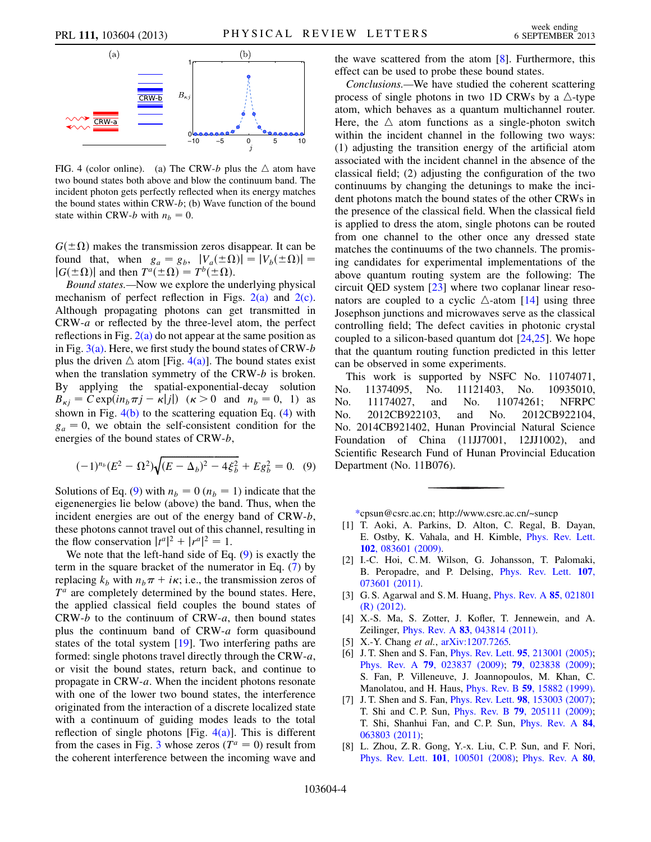

<span id="page-3-8"></span>FIG. 4 (color online). (a) The CRW-b plus the  $\triangle$  atom have two bound states both above and blow the continuum band. The incident photon gets perfectly reflected when its energy matches the bound states within CRW-b; (b) Wave function of the bound state within CRW-b with  $n_b = 0$ .

 $G(\pm\Omega)$  makes the transmission zeros disappear. It can be found that, when  $g_a = g_b$ ,  $|V_a(\pm \Omega)| = |V_b(\pm \Omega)| =$  $|G(\pm\Omega)|$  and then  $T^a(\pm\Omega)=T^b(\pm\Omega)$ .

Bound states.—Now we explore the underlying physical mechanism of perfect reflection in Figs.  $2(a)$  and  $2(c)$ . Although propagating photons can get transmitted in CRW-a or reflected by the three-level atom, the perfect reflections in Fig.  $2(a)$  do not appear at the same position as in Fig.  $3(a)$ . Here, we first study the bound states of CRW-b plus the driven  $\triangle$  atom [Fig. [4\(a\)](#page-3-8)]. The bound states exist when the translation symmetry of the CRW-b is broken. By applying the spatial-exponential-decay solution  $B_{\kappa i} = C \exp(i n_b \pi j - \kappa |j|)$  ( $\kappa > 0$  and  $n_b = 0, 1$ ) as shown in Fig.  $4(b)$  to the scattering equation Eq. [\(4\)](#page-1-3) with  $g_a = 0$ , we obtain the self-consistent condition for the energies of the bound states of CRW-b,

<span id="page-3-9"></span>
$$
(-1)^{n_b}(E^2 - \Omega^2)\sqrt{(E - \Delta_b)^2 - 4\xi_b^2} + Eg_b^2 = 0. \quad (9)
$$

Solutions of Eq. ([9\)](#page-3-9) with  $n_b = 0$  ( $n_b = 1$ ) indicate that the eigenenergies lie below (above) the band. Thus, when the incident energies are out of the energy band of CRW-b. these photons cannot travel out of this channel, resulting in the flow conservation  $|t^a|^2 + |r^a|^2 = 1$ .<br>We note that the left-hand side of Eq.

We note that the left-hand side of Eq. ([9](#page-3-9)) is exactly the term in the square bracket of the numerator in Eq. ([7\)](#page-1-4) by replacing  $k_b$  with  $n_b \pi + i\kappa$ ; i.e., the transmission zeros of  $T^a$  are completely determined by the bound states. Here, the applied classical field couples the bound states of  $CRW-b$  to the continuum of  $CRW-a$ , then bound states plus the continuum band of CRW-a form quasibound states of the total system [\[19\]](#page-4-9). Two interfering paths are formed: single photons travel directly through the CRW-a, or visit the bound states, return back, and continue to propagate in CRW-a. When the incident photons resonate with one of the lower two bound states, the interference originated from the interaction of a discrete localized state with a continuum of guiding modes leads to the total reflection of single photons [Fig.  $4(a)$ ]. This is different from the cases in Fig. [3](#page-2-3) whose zeros ( $T^a = 0$ ) result from the coherent interference between the incoming wave and the wave scattered from the atom  $[8]$  $[8]$ . Furthermore, this effect can be used to probe these bound states.

Conclusions.—We have studied the coherent scattering process of single photons in two 1D CRWs by a  $\triangle$ -type atom, which behaves as a quantum multichannel router. Here, the  $\triangle$  atom functions as a single-photon switch within the incident channel in the following two ways: (1) adjusting the transition energy of the artificial atom associated with the incident channel in the absence of the classical field; (2) adjusting the configuration of the two continuums by changing the detunings to make the incident photons match the bound states of the other CRWs in the presence of the classical field. When the classical field is applied to dress the atom, single photons can be routed from one channel to the other once any dressed state matches the continuums of the two channels. The promising candidates for experimental implementations of the above quantum routing system are the following: The circuit QED system [\[23\]](#page-4-10) where two coplanar linear resonators are coupled to a cyclic  $\triangle$ -atom [\[14\]](#page-4-2) using three Josephson junctions and microwaves serve as the classical controlling field; The defect cavities in photonic crystal coupled to a silicon-based quantum dot  $[24,25]$  $[24,25]$  $[24,25]$  $[24,25]$  $[24,25]$ . We hope that the quantum routing function predicted in this letter can be observed in some experiments.

This work is supported by NSFC No. 11074071, No. 11374095, No. 11121403, No. 10935010, No. 11174027, and No. 11074261; NFRPC No. 2012CB922103, and No. 2012CB922104, No. 2014CB921402, Hunan Provincial Natural Science Foundation of China (11JJ7001, 12JJ1002), and Scientific Research Fund of Hunan Provincial Education Department (No. 11B076).

[\\*c](#page-0-0)psun@csrc.ac.cn; http://www.csrc.ac.cn/~suncp

- <span id="page-3-1"></span><span id="page-3-0"></span>[1] T. Aoki, A. Parkins, D. Alton, C. Regal, B. Dayan, E. Ostby, K. Vahala, and H. Kimble, [Phys. Rev. Lett.](http://dx.doi.org/10.1103/PhysRevLett.102.083601) 102[, 083601 \(2009\)](http://dx.doi.org/10.1103/PhysRevLett.102.083601).
- <span id="page-3-2"></span>[2] I.-C. Hoi, C. M. Wilson, G. Johansson, T. Palomaki, B. Peropadre, and P. Delsing, [Phys. Rev. Lett.](http://dx.doi.org/10.1103/PhysRevLett.107.073601) 107, [073601 \(2011\).](http://dx.doi.org/10.1103/PhysRevLett.107.073601)
- <span id="page-3-3"></span>[3] G. S. Agarwal and S. M. Huang, *[Phys. Rev. A](http://dx.doi.org/10.1103/PhysRevA.85.021801)* 85, 021801 [\(R\) \(2012\).](http://dx.doi.org/10.1103/PhysRevA.85.021801)
- <span id="page-3-4"></span>[4] X.-S. Ma, S. Zotter, J. Kofler, T. Jennewein, and A. Zeilinger, *Phys. Rev. A* **83**[, 043814 \(2011\).](http://dx.doi.org/10.1103/PhysRevA.83.043814)
- <span id="page-3-5"></span>[5] X.-Y. Chang et al.,  $arXiv:1207.7265$ .
- <span id="page-3-6"></span>[6] J. T. Shen and S. Fan, *Phys. Rev. Lett.* **95**[, 213001 \(2005\)](http://dx.doi.org/10.1103/PhysRevLett.95.213001); Phys. Rev. A 79[, 023837 \(2009\)](http://dx.doi.org/10.1103/PhysRevA.79.023837); 79[, 023838 \(2009\)](http://dx.doi.org/10.1103/PhysRevA.79.023838); S. Fan, P. Villeneuve, J. Joannopoulos, M. Khan, C. Manolatou, and H. Haus, Phys. Rev. B 59[, 15882 \(1999\).](http://dx.doi.org/10.1103/PhysRevB.59.15882)
- [7] J. T. Shen and S. Fan, *Phys. Rev. Lett.* **98**[, 153003 \(2007\)](http://dx.doi.org/10.1103/PhysRevLett.98.153003); T. Shi and C. P. Sun, Phys. Rev. B 79[, 205111 \(2009\)](http://dx.doi.org/10.1103/PhysRevB.79.205111); T. Shi, Shanhui Fan, and C. P. Sun, [Phys. Rev. A](http://dx.doi.org/10.1103/PhysRevA.84.063803) 84, [063803 \(2011\);](http://dx.doi.org/10.1103/PhysRevA.84.063803)
- <span id="page-3-7"></span>[8] L. Zhou, Z. R. Gong, Y.-x. Liu, C. P. Sun, and F. Nori, Phys. Rev. Lett. 101[, 100501 \(2008\);](http://dx.doi.org/10.1103/PhysRevLett.101.100501) [Phys. Rev. A](http://dx.doi.org/10.1103/PhysRevA.80.062109) 80,